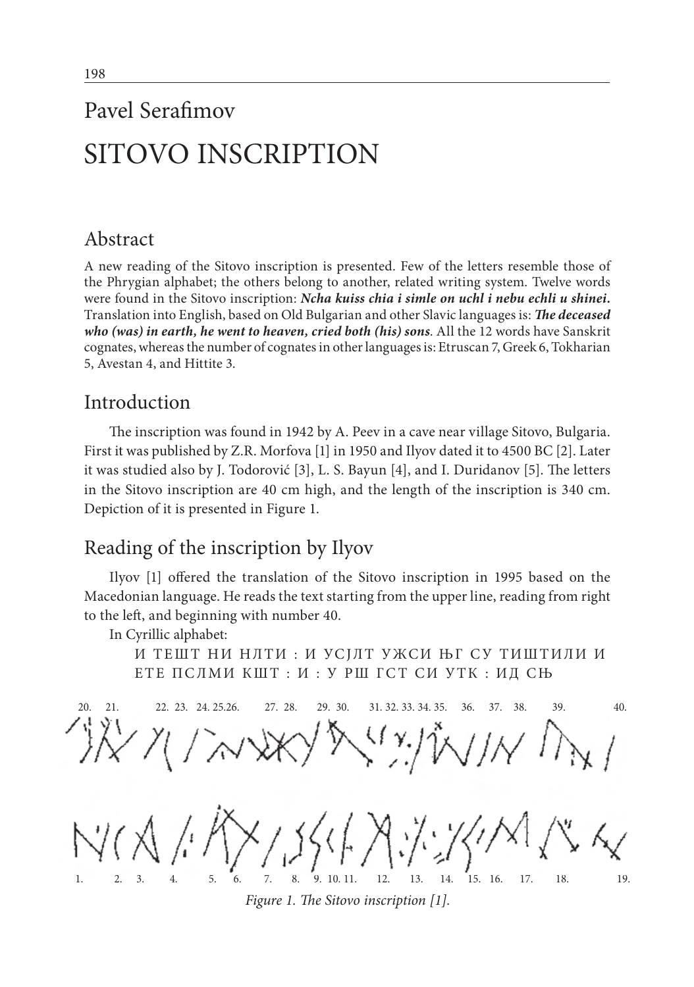# SITOVO INSCRIPTION

# Abstract

A new reading of the Sitovo inscription is presented. Few of the letters resemble those of the Phrygian alphabet; the others belong to another, related writing system. Twelve words were found in the Sitovo inscription: *Ncha kuiss chia i simle on uchl i nebu echli u shinei***.** Translation into English, based on Old Bulgarian and other Slavic languages is: *The deceased who (was) in earth, he went to heaven, cried both (his) sons*. All the 12 words have Sanskrit cognates, whereas the number of cognates in other languages is: Etruscan 7, Greek 6, Tokharian 5, Avestan 4, and Hittite 3.

# Introduction

The inscription was found in 1942 by A. Peev in a cave near village Sitovo, Bulgaria. First it was published by Z.R. Morfova [1] in 1950 and Ilyov dated it to 4500 BC [2]. Later it was studied also by J. Todorović [3], L. S. Bayun [4], and I. Duridanov [5]. The letters in the Sitovo inscription are 40 cm high, and the length of the inscription is 340 cm. Depiction of it is presented in Figure 1.

# Reading of the inscription by Ilyov

Ilyov [1] offered the translation of the Sitovo inscription in 1995 based on the Macedonian language. He reads the text starting from the upper line, reading from right to the left, and beginning with number 40.

In Cyrillic alphabet:

И ТЕШТ НИ НЛТИ: И УСЈЛТ УЖСИ ЊГ СУ ТИШТИЛИ И ЕТЕ ПСЛМИ КШТ : И : У РШ ГСТ СИ УТК : ИД СЊ

*Figure 1. The Sitovo inscription [1].* 20. 21. 22. 23. 24. 25.26. 27. 28. 29. 30. 31. 32. 33. 34. 35. 36. 37. 38. 39. 40. 1. 2. 3. 4. 5. 6. 7. 8. 9. 10. 11. 12. 13. 14. 15. 16. 17. 18. 19.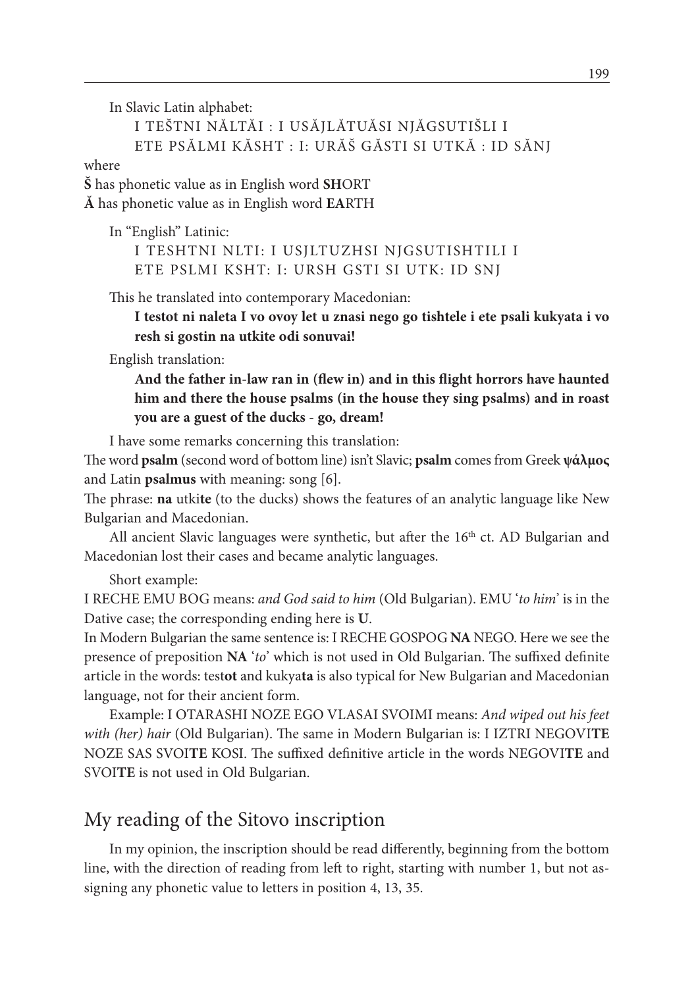In Slavic Latin alphabet:

I TEŠTNI NĂLTĂI : I USĂJLĂTUĂSI NJĂGSUTIŠLI I ETE PSĂLMI KĂSHT : I: URĂŠ GĂSTI SI UTKĂ : ID SĂNJ

where

**Š** has phonetic value as in English word **SH**ORT

**Ă** has phonetic value as in English word **EA**RTH

In "English" Latinic:

I TESHTNI NLTI: I USJLTUZHSI NJGSUTISHTILI I ETE PSLMI KSHT: I: URSH GSTI SI UTK: ID SNJ

This he translated into contemporary Macedonian:

**I testot ni naleta I vo ovoy let u znasi nego go tishtele i ete psali kukyata i vo resh si gostin na utkite odi sonuvai!**

English translation:

**And the father in-law ran in (flew in) and in this flight horrors have haunted him and there the house psalms (in the house they sing psalms) and in roast you are a guest of the ducks - go, dream!**

I have some remarks concerning this translation:

The word **psalm** (second word of bottom line) isn't Slavic; **psalm** comes from Greek **ψάλµος**  and Latin **psalmus** with meaning: song [6].

The phrase: **na** utki**te** (to the ducks) shows the features of an analytic language like New Bulgarian and Macedonian.

All ancient Slavic languages were synthetic, but after the  $16<sup>th</sup>$  ct. AD Bulgarian and Macedonian lost their cases and became analytic languages.

Short example:

I RECHE EMU BOG means: *and God said to him* (Old Bulgarian). EMU '*to him*' is in the Dative case; the corresponding ending here is **U**.

In Modern Bulgarian the same sentence is: I RECHE GOSPOG **NA** NEGO. Here we see the presence of preposition **NA** '*to*' which is not used in Old Bulgarian. The suffixed definite article in the words: test**ot** and kukya**ta** is also typical for New Bulgarian and Macedonian language, not for their ancient form.

Example: I OTARASHI NOZE EGO VLASAI SVOIMI means: *And wiped out his feet with (her) hair* (Old Bulgarian). The same in Modern Bulgarian is: I IZTRI NEGOVI**TE** NOZE SAS SVOI**TE** KOSI. The suffixed definitive article in the words NEGOVI**TE** and SVOI**TE** is not used in Old Bulgarian.

## My reading of the Sitovo inscription

In my opinion, the inscription should be read differently, beginning from the bottom line, with the direction of reading from left to right, starting with number 1, but not assigning any phonetic value to letters in position 4, 13, 35.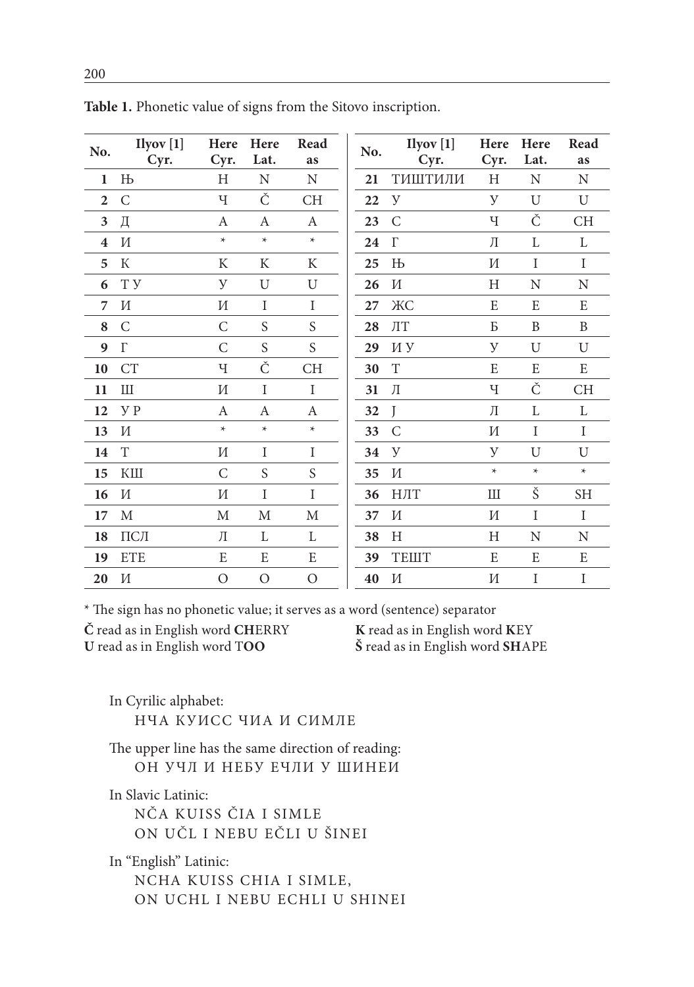| No.                     | Ilyov[1]<br>Cyr.            | Here<br>Cyr. | Here<br>Lat. | Read<br>as  | No. | Ilyov[1]<br>Cyr. | Here<br>Cyr. | Here<br>Lat. | Read<br>as  |
|-------------------------|-----------------------------|--------------|--------------|-------------|-----|------------------|--------------|--------------|-------------|
| $\mathbf{1}$            | Њ                           | Η            | N            | N           | 21  | ТИШТИЛИ          | H            | N            | N           |
| $\overline{2}$          | $\mathsf C$                 | Ч            | Č            | CH          | 22  | У                | У            | U            | U           |
| $\mathbf{3}$            | Д                           | А            | A            | A           | 23  | C                | Ч            | Č            | CH          |
| $\overline{\mathbf{4}}$ | И                           | $\star$      | $\star$      | $\star$     | 24  | $\Gamma$         | Л            | L            | L           |
| 5                       | К                           | K            | K            | K           | 25  | Њ                | И            | I            | $\mathbf I$ |
| 6                       | TУ                          | У            | U            | U           | 26  | И                | Η            | N            | $\rm N$     |
| 7                       | И                           | И            | I            | $\rm I$     | 27  | ЖC               | E            | E            | E           |
| 8                       | C                           | С            | S            | S           | 28  | $\pi$            | Б            | B            | B           |
| 9                       | $\Gamma$                    | C            | S            | S           | 29  | ИУ               | У            | U            | U           |
| 10                      | <b>CT</b>                   | Ч            | Č            | CH          | 30  | $\mathbf T$      | E            | E            | E           |
| 11                      | Ш                           | И            | I            | $\rm I$     | 31  | Л                | Ч            | Č            | <b>CH</b>   |
| 12                      | y p                         | А            | А            | A           | 32  | J                | Л            | L            | L           |
| 13                      | И                           | $\ast$       | $\star$      | $\star$     | 33  | C                | И            | I            | $\mathbf I$ |
| 14                      | T                           | И            | I            | $\rm I$     | 34  | y                | У            | U            | U           |
| 15                      | КШ                          | $\mathsf C$  | S            | $\mathbf S$ | 35  | И                | $\star$      | $\star$      | $\star$     |
| 16                      | И                           | И            | I            | I           | 36  | НЛТ              | Ш            | Š            | <b>SH</b>   |
| 17                      | М                           | M            | $\mathbf M$  | M           | 37  | И                | И            | I            | $\mathbf I$ |
| 18                      | $\Pi\mathsf{C}\mathsf{\Pi}$ | Л            | L            | L           | 38  | H                | Н            | N            | N           |
| 19                      | <b>ETE</b>                  | E            | E            | E           | 39  | <b>TEIIIT</b>    | E            | E            | E           |
| 20                      | И                           | O            | O            | O           | 40  | И                | И            | I            | I           |
|                         |                             |              |              |             |     |                  |              |              |             |

Table 1. Phonetic value of signs from the Sitovo inscription.

\* The sign has no phonetic value; it serves as a word (sentence) separator

Č read as in English word CHERRY U read as in English word TOO

K read as in English word KEY Š read as in English word SHAPE

In Cyrilic alphabet: НЧА КУИСС ЧИА И СИМЛЕ

The upper line has the same direction of reading: ОН УЧЛ И НЕБУ ЕЧЛИ У ШИНЕИ

In Slavic Latinic:

NČA KUISS ČIA I SIMLE ON UČL I NEBU EČLI U ŠINEI

In "English" Latinic:

NCHA KUISS CHIA I SIMLE, ON UCHL I NEBU ECHLI U SHINEI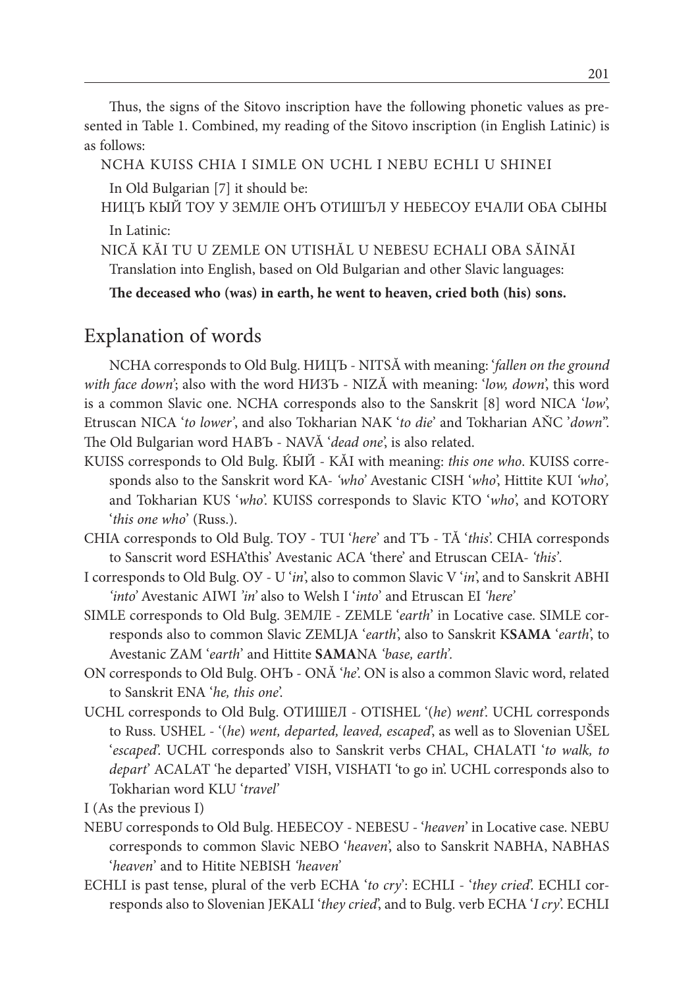Thus, the signs of the Sitovo inscription have the following phonetic values as presented in Table 1. Combined, my reading of the Sitovo inscription (in English Latinic) is as follows:

NCHA KUISS CHIA I SIMLE ON UCHL I NEBU ECHLI U SHINEI

In Old Bulgarian [7] it should be:

НИЦЪ КЫЙ ТОУ У ЗЕМЛЕ ОНЪ ОТИШЪЛ У НЕБЕСОУ ЕЧАЛИ ОБА СЫНЫ In Latinic:

NICĂ KĂI TU U ZEMLE ON UTISHĂL U NEBESU ECHALI OBA SĂINĂI Translation into English, based on Old Bulgarian and other Slavic languages:

**The deceased who (was) in earth, he went to heaven, cried both (his) sons.**

## Explanation of words

NCHA corresponds to Old Bulg. НИЦЪ - NITSĂ with meaning: '*fallen on the ground with face down'*; also with the word НИЗЪ - NIZĂ with meaning: '*low, down*', this word is a common Slavic one. NCHA corresponds also to the Sanskrit [8] word NICA '*low*', Etruscan NICA '*to lower'*, and also Tokharian NAK '*to die*' and Tokharian AŇC '*down*". The Old Bulgarian word НАВЪ - NAVĂ '*dead one*', is also related.

- KUISS corresponds to Old Bulg. ЌЫЙ KĂI with meaning: *this one who*. KUISS corresponds also to the Sanskrit word KA- *'who'* Avestanic CISH '*who*', Hittite KUI *'who',*  and Tokharian KUS '*who*'. KUISS corresponds to Slavic KTO '*who*', and KOTORY '*this one who*' (Russ.).
- CHIA corresponds to Old Bulg. ТОУ TUI '*here*' and ТЪ TĂ '*this*'. CHIA corresponds to Sanscrit word ESHA'this' Avestanic ACA 'there' and Etruscan CEIA- *'this'*.
- I corresponds to Old Bulg. ОУ U '*in*', also to common Slavic V '*in*', and to Sanskrit ABHI *'into'* Avestanic AIWI *'in'* also to Welsh I '*into*' and Etruscan EI *'here'*
- SIMLE corresponds to Old Bulg. ЗЕМЛЕ ZEMLE '*earth*' in Locative case. SIMLE corresponds also to common Slavic ZEMLJA '*earth*', also to Sanskrit K**SAMA** '*earth*', to Avestanic ZAM '*earth*' and Hittite **SAMA**NA *'base, earth'.*
- ON corresponds to Old Bulg. ОНЪ ONĂ '*he*'. ON is also a common Slavic word, related to Sanskrit ENA '*he, this one*'.
- UCHL corresponds to Old Bulg. ОТИШЕЛ OTISHEL '(*he*) *went*'. UCHL corresponds to Russ. USHEL - '(*he*) *went, departed, leaved, escaped*', as well as to Slovenian UŠEL '*escaped*'. UCHL corresponds also to Sanskrit verbs CHAL, CHALATI '*to walk, to depart*' ACALAT 'he departed' VISH, VISHATI 'to go in'. UCHL corresponds also to Tokharian word KLU '*travel'*

I (As the previous I)

- NEBU corresponds to Old Bulg. НЕБЕСОУ NEBESU '*heaven*' in Locative case. NEBU corresponds to common Slavic NEBO '*heaven*', also to Sanskrit NABHA, NABHAS '*heaven*' and to Hitite NEBISH *'heaven'*
- ECHLI is past tense, plural of the verb ECHA '*to cry*': ECHLI '*they cried*'. ECHLI corresponds also to Slovenian JEKALI '*they cried*', and to Bulg. verb ECHA '*I cry*'. ECHLI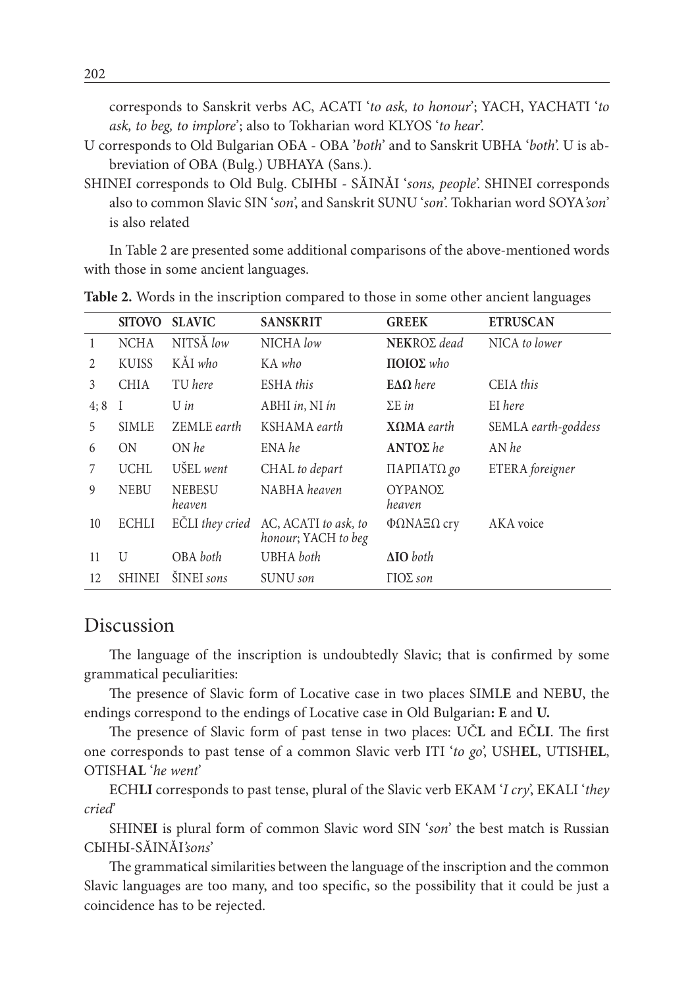corresponds to Sanskrit verbs AC, ACATI 'to ask, to honour'; YACH, YACHATI 'to ask, to beg, to implore'; also to Tokharian word KLYOS 'to hear'.

- U corresponds to Old Bulgarian OBA OBA 'both' and to Sanskrit UBHA 'both'. U is abbreviation of OBA (Bulg.) UBHAYA (Sans.).
- SHINEI corresponds to Old Bulg. CLIHLI SĂINĂI 'sons, people'. SHINEI corresponds also to common Slavic SIN 'son', and Sanskrit SUNU 'son'. Tokharian word SOYA'son' is also related

In Table 2 are presented some additional comparisons of the above-mentioned words with those in some ancient languages.

|                | <b>SITOVO</b> | <b>SLAVIC</b>           | <b>SANSKRIT</b>                             | <b>GREEK</b>             | <b>ETRUSCAN</b>     |
|----------------|---------------|-------------------------|---------------------------------------------|--------------------------|---------------------|
| $\mathbf{1}$   | <b>NCHA</b>   | NITSÅ low               | NICHA low                                   | NEKRO $\Sigma$ dead      | NICA to lower       |
| $\overline{2}$ | <b>KUISS</b>  | KĂI who                 | KA who                                      | ΠΟΙΟΣ who                |                     |
| 3              | <b>CHIA</b>   | TU here                 | ESHA this                                   | $E\Delta\Omega$ here     | CEIA this           |
| 4;8            | I             | U in                    | ABHI in, NI ín                              | $\Sigma$ E in            | EI here             |
| 5              | <b>SIMLE</b>  | ZEMLE earth             | KSHAMA earth                                | $X\Omega MA$ earth       | SEMLA earth-goddess |
| 6              | ON            | $ON$ he                 | ENA he                                      | $ANTO\Sigma$ he          | $AN$ he             |
| 7              | <b>UCHL</b>   | UŠEL went               | CHAL to depart                              | ΠΑΡΠΑΤΩ go               | ETERA foreigner     |
| 9              | <b>NEBU</b>   | <b>NEBESU</b><br>heaven | NABHA heaven                                | ΟΥΡΑΝΟΣ<br>heaven        |                     |
| 10             | <b>ECHLI</b>  | EČLI they cried         | AC, ACATI to ask, to<br>honour; YACH to beg | $ΦΩNAEΩ$ cry             | AKA voice           |
| 11             | U             | OBA both                | <b>UBHA</b> both                            | $\Delta$ IO both         |                     |
| 12             | <b>SHINEI</b> | ŠINEI sons              | SUNU son                                    | $\Gamma$ IO $\Sigma$ son |                     |

Table 2. Words in the inscription compared to those in some other ancient languages

#### Discussion

The language of the inscription is undoubtedly Slavic; that is confirmed by some grammatical peculiarities:

The presence of Slavic form of Locative case in two places SIMLE and NEBU, the endings correspond to the endings of Locative case in Old Bulgarian: E and U.

The presence of Slavic form of past tense in two places: UCL and ECLI. The first one corresponds to past tense of a common Slavic verb ITI 'to go', USHEL, UTISHEL, OTISHAL 'he went'

ECHLI corresponds to past tense, plural of the Slavic verb EKAM 'I cry', EKALI 'they cried

SHINEI is plural form of common Slavic word SIN 'son' the best match is Russian CbIHbI-SĂINĂI'sons'

The grammatical similarities between the language of the inscription and the common Slavic languages are too many, and too specific, so the possibility that it could be just a coincidence has to be rejected.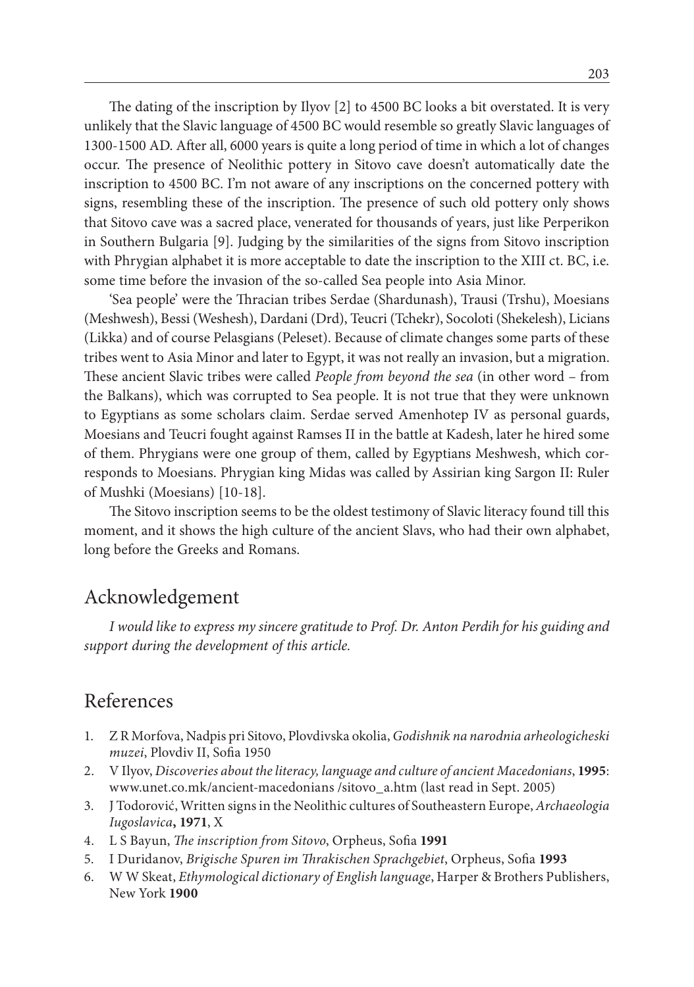The dating of the inscription by Ilyov [2] to 4500 BC looks a bit overstated. It is very unlikely that the Slavic language of 4500 BC would resemble so greatly Slavic languages of 1300-1500 AD. After all, 6000 years is quite a long period of time in which a lot of changes occur. The presence of Neolithic pottery in Sitovo cave doesn't automatically date the inscription to 4500 BC. I'm not aware of any inscriptions on the concerned pottery with signs, resembling these of the inscription. The presence of such old pottery only shows that Sitovo cave was a sacred place, venerated for thousands of years, just like Perperikon in Southern Bulgaria [9]. Judging by the similarities of the signs from Sitovo inscription with Phrygian alphabet it is more acceptable to date the inscription to the XIII ct. BC, i.e. some time before the invasion of the so-called Sea people into Asia Minor.

'Sea people' were the Thracian tribes Serdae (Shardunash), Trausi (Trshu), Moesians (Meshwesh), Bessi (Weshesh), Dardani (Drd), Teucri (Tchekr), Socoloti (Shekelesh), Licians (Likka) and of course Pelasgians (Peleset). Because of climate changes some parts of these tribes went to Asia Minor and later to Egypt, it was not really an invasion, but a migration. These ancient Slavic tribes were called *People from beyond the sea* (in other word – from the Balkans), which was corrupted to Sea people. It is not true that they were unknown to Egyptians as some scholars claim. Serdae served Amenhotep IV as personal guards, Moesians and Teucri fought against Ramses II in the battle at Kadesh, later he hired some of them. Phrygians were one group of them, called by Egyptians Meshwesh, which corresponds to Moesians. Phrygian king Midas was called by Assirian king Sargon II: Ruler of Mushki (Moesians) [10-18].

The Sitovo inscription seems to be the oldest testimony of Slavic literacy found till this moment, and it shows the high culture of the ancient Slavs, who had their own alphabet, long before the Greeks and Romans.

## Acknowledgement

*I would like to express my sincere gratitude to Prof. Dr. Anton Perdih for his guiding and support during the development of this article.*

### References

- 1. Z R Morfova, Nadpis pri Sitovo, Plovdivska okolia, *Godishnik na narodnia arheologicheski muzei*, Plovdiv II, Sofia 1950
- 2. V Ilyov, *Discoveries about the literacy, language and culture of ancient Macedonians*, **1995**: www.unet.co.mk/ancient-macedonians /sitovo\_a.htm (last read in Sept. 2005)
- 3. J Todorović, Written signs in the Neolithic cultures of Southeastern Europe, *Archaeologia Iugoslavica***, 1971**, X
- 4. L S Bayun, *The inscription from Sitovo*, Orpheus, Sofia **1991**
- 5. I Duridanov, *Brigische Spuren im Thrakischen Sprachgebiet*, Orpheus, Sofia **1993**
- 6. W W Skeat, *Ethymological dictionary of English language*, Harper & Brothers Publishers, New York **1900**